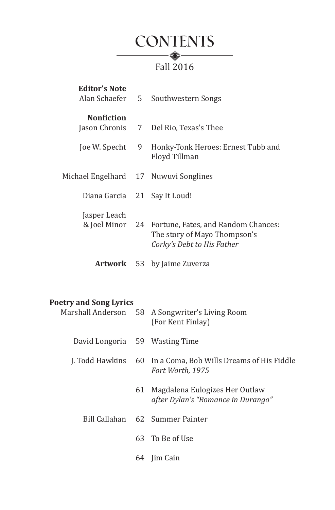

| Editor's Note<br>Alan Schaefer        | 5   | Southwestern Songs                                                                                                |
|---------------------------------------|-----|-------------------------------------------------------------------------------------------------------------------|
| <b>Nonfiction</b><br>Joe W. Specht    | - 9 | Jason Chronis 7 Del Rio, Texas's Thee<br>Honky-Tonk Heroes: Ernest Tubb and<br>Floyd Tillman                      |
| Michael Engelhard 17 Nuwuvi Songlines |     |                                                                                                                   |
| Diana Garcia 21 Say It Loud!          |     |                                                                                                                   |
| Jasper Leach                          |     | & Joel Minor 24 Fortune, Fates, and Random Chances:<br>The story of Mayo Thompson's<br>Corky's Debt to His Father |
|                                       |     | <b>Artwork</b> 53 by Jaime Zuverza                                                                                |

## **Poetry and Song Lyrics**

|                                 |    | Marshall Anderson 58 A Songwriter's Living Room<br>(For Kent Finlay)             |
|---------------------------------|----|----------------------------------------------------------------------------------|
| David Longoria 59 Wasting Time  |    |                                                                                  |
|                                 |    | J. Todd Hawkins 60 In a Coma, Bob Wills Dreams of His Fiddle<br>Fort Worth, 1975 |
|                                 | 61 | Magdalena Eulogizes Her Outlaw<br>after Dylan's "Romance in Durango"             |
| Bill Callahan 62 Summer Painter |    |                                                                                  |
|                                 |    | 63 To Be of Use                                                                  |
|                                 | 64 | lim Cain                                                                         |